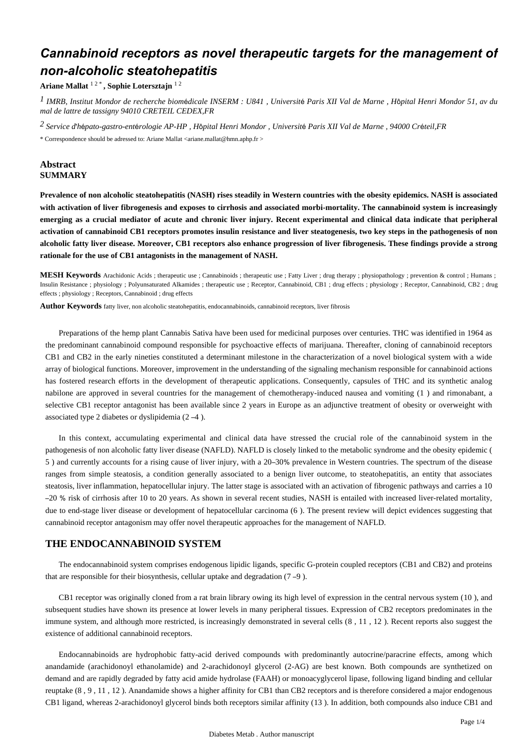# *Cannabinoid receptors as novel therapeutic targets for the management of non-alcoholic steatohepatitis*

**Ariane Mallat** 1 2 \* **, Sophie Lotersztajn** 1 2

<sup>1</sup> IMRB, Institut Mondor de recherche biomédicale INSERM : U841, Université Paris XII Val de Marne, Hôpital Henri Mondor 51, av du *mal de lattre de tassigny 94010 CRETEIL CEDEX,FR*

<sup>2</sup> Service d'hépato-gastro-entérologie AP-HP, Hôpital Henri Mondor, Université Paris XII Val de Marne, 94000 Créteil,FR

\* Correspondence should be adressed to: Ariane Mallat <ariane.mallat@hmn.aphp.fr >

# **Abstract SUMMARY**

**Prevalence of non alcoholic steatohepatitis (NASH) rises steadily in Western countries with the obesity epidemics. NASH is associated with activation of liver fibrogenesis and exposes to cirrhosis and associated morbi-mortality. The cannabinoid system is increasingly emerging as a crucial mediator of acute and chronic liver injury. Recent experimental and clinical data indicate that peripheral activation of cannabinoid CB1 receptors promotes insulin resistance and liver steatogenesis, two key steps in the pathogenesis of non alcoholic fatty liver disease. Moreover, CB1 receptors also enhance progression of liver fibrogenesis. These findings provide a strong rationale for the use of CB1 antagonists in the management of NASH.**

**MESH Keywords** Arachidonic Acids ; therapeutic use ; Cannabinoids ; therapeutic use ; Fatty Liver ; drug therapy ; physiopathology ; prevention & control ; Humans ; Insulin Resistance ; physiology ; Polyunsaturated Alkamides ; therapeutic use ; Receptor, Cannabinoid, CB1 ; drug effects ; physiology ; Receptor, Cannabinoid, CB2 ; drug effects ; physiology ; Receptors, Cannabinoid ; drug effects

**Author Keywords** fatty liver, non alcoholic steatohepatitis, endocannabinoids, cannabinoid receptors, liver fibrosis

Preparations of the hemp plant Cannabis Sativa have been used for medicinal purposes over centuries. THC was identified in 1964 as the predominant cannabinoid compound responsible for psychoactive effects of marijuana. Thereafter, cloning of cannabinoid receptors CB1 and CB2 in the early nineties constituted a determinant milestone in the characterization of a novel biological system with a wide array of biological functions. Moreover, improvement in the understanding of the signaling mechanism responsible for cannabinoid actions has fostered research efforts in the development of therapeutic applications. Consequently, capsules of THC and its synthetic analog nabilone are approved in several countries for the management of chemotherapy-induced nausea and vomiting (1) and rimonabant, a selective CB1 receptor antagonist has been available since 2 years in Europe as an adjunctive treatment of obesity or overweight with associated type 2 diabetes or dyslipidemia  $(2 -4)$ .

In this context, accumulating experimental and clinical data have stressed the crucial role of the cannabinoid system in the pathogenesis of non alcoholic fatty liver disease (NAFLD). NAFLD is closely linked to the metabolic syndrome and the obesity epidemic ( 5) and currently accounts for a rising cause of liver injury, with a 20–30% prevalence in Western countries. The spectrum of the disease ranges from simple steatosis, a condition generally associated to a benign liver outcome, to steatohepatitis, an entity that associates steatosis, liver inflammation, hepatocellular injury. The latter stage is associated with an activation of fibrogenic pathways and carries a 10 – % 20 risk of cirrhosis after 10 to 20 years. As shown in several recent studies, NASH is entailed with increased liver-related mortality, due to end-stage liver disease or development of hepatocellular carcinoma (6). The present review will depict evidences suggesting that cannabinoid receptor antagonism may offer novel therapeutic approaches for the management of NAFLD.

## **THE ENDOCANNABINOID SYSTEM**

The endocannabinoid system comprises endogenous lipidic ligands, specific G-protein coupled receptors (CB1 and CB2) and proteins that are responsible for their biosynthesis, cellular uptake and degradation  $(7 - 9)$ .

CB1 receptor was originally cloned from a rat brain library owing its high level of expression in the central nervous system (10), and subsequent studies have shown its presence at lower levels in many peripheral tissues. Expression of CB2 receptors predominates in the immune system, and although more restricted, is increasingly demonstrated in several cells  $(8, 11, 12)$ . Recent reports also suggest the existence of additional cannabinoid receptors.

Endocannabinoids are hydrophobic fatty-acid derived compounds with predominantly autocrine/paracrine effects, among which anandamide (arachidonoyl ethanolamide) and 2-arachidonoyl glycerol (2-AG) are best known. Both compounds are synthetized on demand and are rapidly degraded by fatty acid amide hydrolase (FAAH) or monoacyglycerol lipase, following ligand binding and cellular reuptake  $(8, 9, 11, 12)$ . Anandamide shows a higher affinity for CB1 than CB2 receptors and is therefore considered a major endogenous CB1 ligand, whereas 2-arachidonoyl glycerol binds both receptors similar affinity (13). In addition, both compounds also induce CB1 and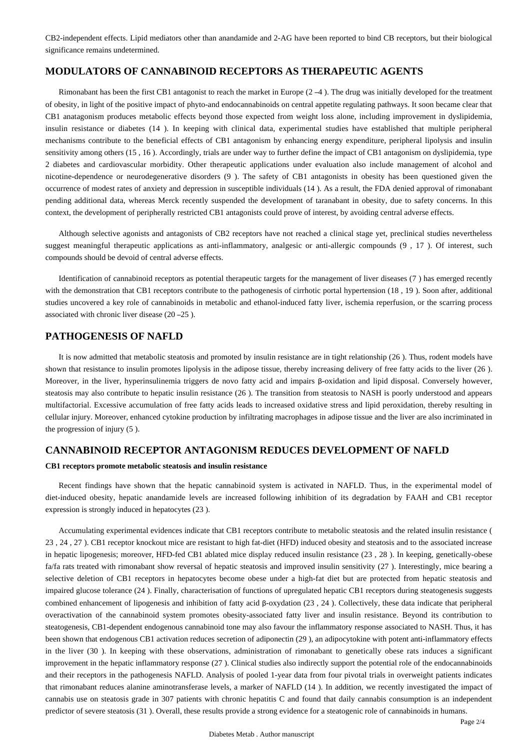CB2-independent effects. Lipid mediators other than anandamide and 2-AG have been reported to bind CB receptors, but their biological significance remains undetermined.

## **MODULATORS OF CANNABINOID RECEPTORS AS THERAPEUTIC AGENTS**

Rimonabant has been the first CB1 antagonist to reach the market in Europe  $(2-4)$ . The drug was initially developed for the treatment of obesity, in light of the positive impact of phyto-and endocannabinoids on central appetite regulating pathways. It soon became clear that CB1 anatagonism produces metabolic effects beyond those expected from weight loss alone, including improvement in dyslipidemia, insulin resistance or diabetes (14). In keeping with clinical data, experimental studies have established that multiple peripheral mechanisms contribute to the beneficial effects of CB1 antagonism by enhancing energy expenditure, peripheral lipolysis and insulin sensitivity among others  $(15, 16)$ . Accordingly, trials are under way to further define the impact of CB1 antagonism on dyslipidemia, type 2 diabetes and cardiovascular morbidity. Other therapeutic applications under evaluation also include management of alcohol and nicotine-dependence or neurodegenerative disorders (9). The safety of CB1 antagonists in obesity has been questioned given the occurrence of modest rates of anxiety and depression in susceptible individuals (14). As a result, the FDA denied approval of rimonabant pending additional data, whereas Merck recently suspended the development of taranabant in obesity, due to safety concerns. In this context, the development of peripherally restricted CB1 antagonists could prove of interest, by avoiding central adverse effects.

Although selective agonists and antagonists of CB2 receptors have not reached a clinical stage yet, preclinical studies nevertheless suggest meaningful therapeutic applications as anti-inflammatory, analgesic or anti-allergic compounds (9, 17). Of interest, such compounds should be devoid of central adverse effects.

Identification of cannabinoid receptors as potential therapeutic targets for the management of liver diseases (7) has emerged recently with the demonstration that CB1 receptors contribute to the pathogenesis of cirrhotic portal hypertension (18, 19). Soon after, additional studies uncovered a key role of cannabinoids in metabolic and ethanol-induced fatty liver, ischemia reperfusion, or the scarring process associated with chronic liver disease  $(20 - 25)$ .

## **PATHOGENESIS OF NAFLD**

It is now admitted that metabolic steatosis and promoted by insulin resistance are in tight relationship  $(26)$ . Thus, rodent models have shown that resistance to insulin promotes lipolysis in the adipose tissue, thereby increasing delivery of free fatty acids to the liver  $(26)$ . Moreover, in the liver, hyperinsulinemia triggers de novo fatty acid and impairs β-oxidation and lipid disposal. Conversely however, steatosis may also contribute to hepatic insulin resistance (26). The transition from steatosis to NASH is poorly understood and appears multifactorial. Excessive accumulation of free fatty acids leads to increased oxidative stress and lipid peroxidation, thereby resulting in cellular injury. Moreover, enhanced cytokine production by infiltrating macrophages in adipose tissue and the liver are also incriminated in the progression of injury  $(5)$ .

## **CANNABINOID RECEPTOR ANTAGONISM REDUCES DEVELOPMENT OF NAFLD**

## **CB1 receptors promote metabolic steatosis and insulin resistance**

Recent findings have shown that the hepatic cannabinoid system is activated in NAFLD. Thus, in the experimental model of diet-induced obesity, hepatic anandamide levels are increased following inhibition of its degradation by FAAH and CB1 receptor expression is strongly induced in hepatocytes (23).

Accumulating experimental evidences indicate that CB1 receptors contribute to metabolic steatosis and the related insulin resistance ( 23, 24, 27). CB1 receptor knockout mice are resistant to high fat-diet (HFD) induced obesity and steatosis and to the associated increase in hepatic lipogenesis; moreover, HFD-fed CB1 ablated mice display reduced insulin resistance  $(23, 28)$ . In keeping, genetically-obese fa/fa rats treated with rimonabant show reversal of hepatic steatosis and improved insulin sensitivity (27). Interestingly, mice bearing a selective deletion of CB1 receptors in hepatocytes become obese under a high-fat diet but are protected from hepatic steatosis and impaired glucose tolerance (24). Finally, characterisation of functions of upregulated hepatic CB1 receptors during steatogenesis suggests combined enhancement of lipogenesis and inhibition of fatty acid β-oxydation (23, 24). Collectively, these data indicate that peripheral overactivation of the cannabinoid system promotes obesity-associated fatty liver and insulin resistance. Beyond its contribution to steatogenesis, CB1-dependent endogenous cannabinoid tone may also favour the inflammatory response associated to NASH. Thus, it has been shown that endogenous CB1 activation reduces secretion of adiponectin (29), an adipocytokine with potent anti-inflammatory effects in the liver (30). In keeping with these observations, administration of rimonabant to genetically obese rats induces a significant improvement in the hepatic inflammatory response (27). Clinical studies also indirectly support the potential role of the endocannabinoids and their receptors in the pathogenesis NAFLD. Analysis of pooled 1-year data from four pivotal trials in overweight patients indicates that rimonabant reduces alanine aminotransferase levels, a marker of NAFLD (14). In addition, we recently investigated the impact of cannabis use on steatosis grade in 307 patients with chronic hepatitis C and found that daily cannabis consumption is an independent predictor of severe steatosis (31). Overall, these results provide a strong evidence for a steatogenic role of cannabinoids in humans.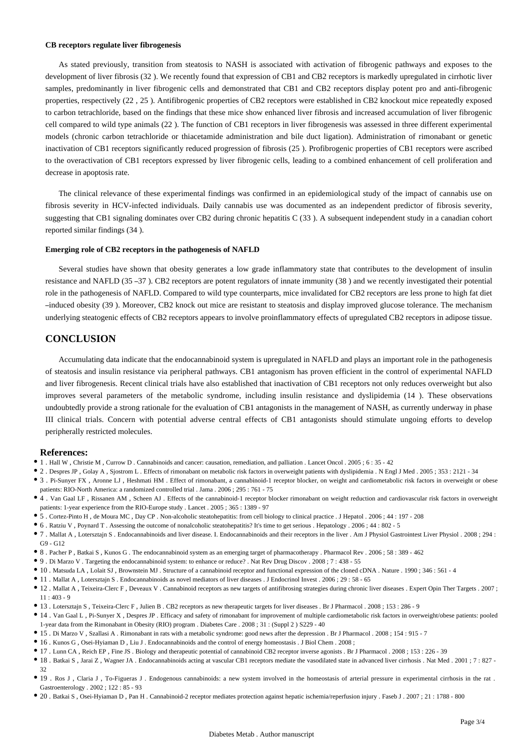#### **CB receptors regulate liver fibrogenesis**

As stated previously, transition from steatosis to NASH is associated with activation of fibrogenic pathways and exposes to the development of liver fibrosis (32). We recently found that expression of CB1 and CB2 receptors is markedly upregulated in cirrhotic liver samples, predominantly in liver fibrogenic cells and demonstrated that CB1 and CB2 receptors display potent pro and anti-fibrogenic properties, respectively (22, 25). Antifibrogenic properties of CB2 receptors were established in CB2 knockout mice repeatedly exposed to carbon tetrachloride, based on the findings that these mice show enhanced liver fibrosis and increased accumulation of liver fibrogenic cell compared to wild type animals (22). The function of CB1 receptors in liver fibrogenesis was assessed in three different experimental models (chronic carbon tetrachloride or thiacetamide administration and bile duct ligation). Administration of rimonabant or genetic inactivation of CB1 receptors significantly reduced progression of fibrosis (25). Profibrogenic properties of CB1 receptors were ascribed to the overactivation of CB1 receptors expressed by liver fibrogenic cells, leading to a combined enhancement of cell proliferation and decrease in apoptosis rate.

The clinical relevance of these experimental findings was confirmed in an epidemiological study of the impact of cannabis use on fibrosis severity in HCV-infected individuals. Daily cannabis use was documented as an independent predictor of fibrosis severity, suggesting that CB1 signaling dominates over CB2 during chronic hepatitis  $C(33)$ . A subsequent independent study in a canadian cohort reported similar findings (34).

### **Emerging role of CB2 receptors in the pathogenesis of NAFLD**

Several studies have shown that obesity generates a low grade inflammatory state that contributes to the development of insulin resistance and NAFLD (35 –37). CB2 receptors are potent regulators of innate immunity (38) and we recently investigated their potential role in the pathogenesis of NAFLD. Compared to wild type counterparts, mice invalidated for CB2 receptors are less prone to high fat diet -induced obesity (39). Moreover, CB2 knock out mice are resistant to steatosis and display improved glucose tolerance. The mechanism underlying steatogenic effects of CB2 receptors appears to involve proinflammatory effects of upregulated CB2 receptors in adipose tissue.

## **CONCLUSION**

Accumulating data indicate that the endocannabinoid system is upregulated in NAFLD and plays an important role in the pathogenesis of steatosis and insulin resistance via peripheral pathways. CB1 antagonism has proven efficient in the control of experimental NAFLD and liver fibrogenesis. Recent clinical trials have also established that inactivation of CB1 receptors not only reduces overweight but also improves several parameters of the metabolic syndrome, including insulin resistance and dyslipidemia (14 ). These observations undoubtedly provide a strong rationale for the evaluation of CB1 antagonists in the management of NASH, as currently underway in phase III clinical trials. Concern with potential adverse central effects of CB1 antagonists should stimulate ungoing efforts to develop peripherally restricted molecules.

#### **References:**

- 1 . Hall W , Christie M , Currow D . Cannabinoids and cancer: causation, remediation, and palliation . Lancet Oncol . 2005 ; 6 : 35 42
- 2 . Despres JP , Golay A , Sjostrom L . Effects of rimonabant on metabolic risk factors in overweight patients with dyslipidemia . N Engl J Med . 2005 ; 353 : 2121 34
- 3 . Pi-Sunyer FX , Aronne LJ , Heshmati HM . Effect of rimonabant, a cannabinoid-1 receptor blocker, on weight and cardiometabolic risk factors in overweight or obese patients: RIO-North America: a randomized controlled trial . Jama . 2006 ; 295 : 761 - 75
- 4 . Van Gaal LF , Rissanen AM , Scheen AJ . Effects of the cannabinoid-1 receptor blocker rimonabant on weight reduction and cardiovascular risk factors in overweight patients: 1-year experience from the RIO-Europe study . Lancet . 2005 ; 365 : 1389 - 97
- 5 . Cortez-Pinto H , de Moura MC , Day CP . Non-alcoholic steatohepatitis: from cell biology to clinical practice . J Hepatol . 2006 ; 44 : 197 208
- <sup>•</sup> 6 . Ratziu V , Poynard T . Assessing the outcome of nonalcoholic steatohepatitis? It's time to get serious . Hepatology . 2006 ; 44 : 802 5
- 7 . Mallat A , Lotersztajn S . Endocannabinoids and liver disease. I. Endocannabinoids and their receptors in the liver . Am J Physio l Gastrointest Liver Physiol . 2008 ; 294 : G9 - G12
- 8 . Pacher P , Batkai S , Kunos G . The endocannabinoid system as an emerging target of pharmacotherapy . Pharmacol Rev . 2006 ; 58 : 389 462
- 9 . Di Marzo V . Targeting the endocannabinoid system: to enhance or reduce? . Nat Rev Drug Discov . 2008 ; 7 : 438 55
- 10 . Matsuda LA , Lolait SJ , Brownstein MJ . Structure of a cannabinoid receptor and functional expression of the cloned cDNA . Nature . 1990 ; 346 : 561 4
- 11 . Mallat A , Lotersztajn S . Endocannabinoids as novel mediators of liver diseases . J Endocrinol Invest . 2006 ; 29 : 58 65
- 12 . Mallat A , Teixeira-Clerc F , Deveaux V . Cannabinoid receptors as new targets of antifibrosing strategies during chronic liver diseases . Exper t Opin Ther Targets . 2007 ;  $11:403 - 9$
- 13 . Lotersztajn S , Teixeira-Clerc F , Julien B . CB2 receptors as new therapeutic targets for liver diseases . Br J Pharmacol . 2008 ; 153 : 286 9
- 14 . Van Gaal L , Pi-Sunyer X , Despres JP . Efficacy and safety of rimonabant for improvement of multiple cardiometabolic risk factors in overweight/obese patients: pooled 1-year data from the Rimonabant in Obesity (RIO) program . Diabetes Care . 2008 ; 31 : (Suppl 2 ) S229 - 40
- 15 . Di Marzo V , Szallasi A . Rimonabant in rats with a metabolic syndrome: good news after the depression . Br J Pharmacol . 2008 ; 154 : 915 7
- 16 . Kunos G , Osei-Hyiaman D , Liu J . Endocannabinoids and the control of energy homeostasis . J Biol Chem . 2008 ;
- 17 . Lunn CA , Reich EP , Fine JS . Biology and therapeutic potential of cannabinoid CB2 receptor inverse agonists . Br J Pharmacol . 2008 ; 153 : 226 39
- 18 . Batkai S , Jarai Z , Wagner JA . Endocannabinoids acting at vascular CB1 receptors mediate the vasodilated state in advanced liver cirrhosis . Nat Med . 2001 ; 7 : 827 32
- 19 . Ros J , Claria J , To-Figueras J . Endogenous cannabinoids: a new system involved in the homeostasis of arterial pressure in experimental cirrhosis in the rat . Gastroenterology . 2002 ; 122 : 85 - 93
- 20 . Batkai S , Osei-Hyiaman D , Pan H . Cannabinoid-2 receptor mediates protection against hepatic ischemia/reperfusion injury . Faseb J . 2007 ; 21 : 1788 800